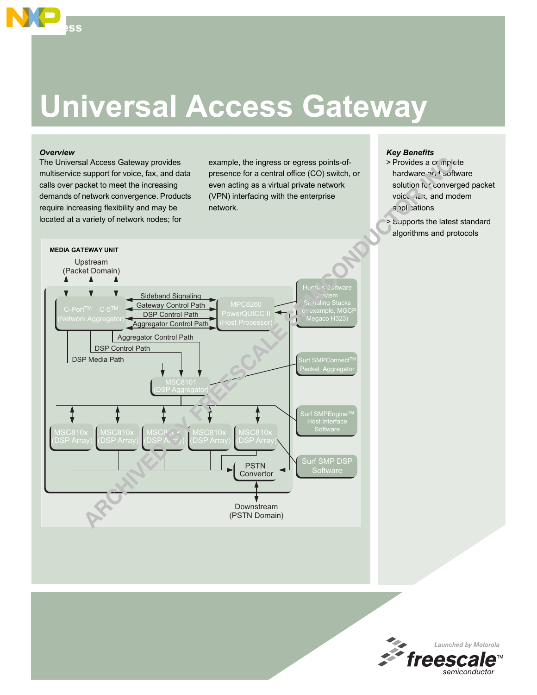# **Universal Access Gateway**

### *Overview*

**Access**

The Universal Access Gateway provides multiservice support for voice, fax, and data calls over packet to meet the increasing demands of network convergence. Products require increasing flexibility and may be located at a variety of network nodes; for

example, the ingress or egress points-ofpresence for a central office (CO) switch, or even acting as a virtual private network (VPN) interfacing with the enterprise network.

# *Key Benefits*

- > Provides a complete hardware and software solution to converged packet voice, rax, and modem a pplications
- > Supports the latest standard algorithms and protocols



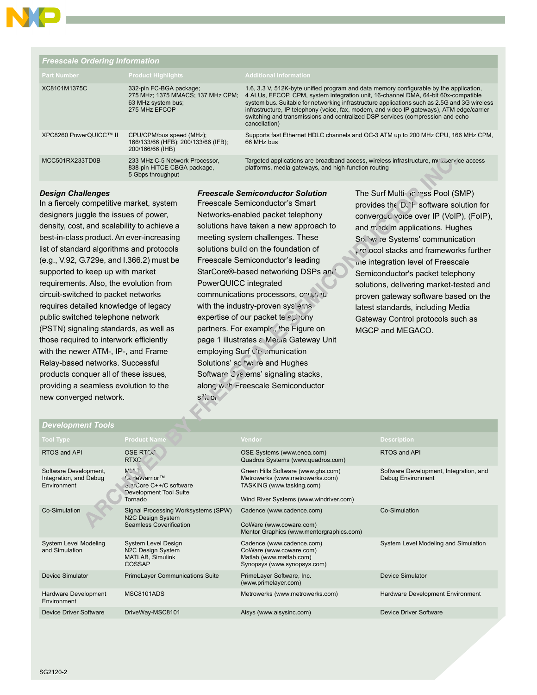

| <b>Freescale Ordering Information</b> |                                                                                                     |                                                                                                                                                                                                                                                                                                                                                                                                                                                                              |  |  |  |
|---------------------------------------|-----------------------------------------------------------------------------------------------------|------------------------------------------------------------------------------------------------------------------------------------------------------------------------------------------------------------------------------------------------------------------------------------------------------------------------------------------------------------------------------------------------------------------------------------------------------------------------------|--|--|--|
| <b>Part Number</b>                    | <b>Product Highlights</b>                                                                           | <b>Additional Information</b>                                                                                                                                                                                                                                                                                                                                                                                                                                                |  |  |  |
| XC8101M1375C                          | 332-pin FC-BGA package;<br>275 MHz: 1375 MMACS: 137 MHz CPM:<br>63 MHz system bus;<br>275 MHz EFCOP | 1.6, 3.3 V, 512K-byte unified program and data memory configurable by the application,<br>4 ALUs, EFCOP, CPM, system integration unit, 16-channel DMA, 64-bit 60x-compatible<br>system bus. Suitable for networking infrastructure applications such as 2.5G and 3G wireless<br>infrastructure, IP telephony (voice, fax, modem, and video IP gateways), ATM edge/carrier<br>switching and transmissions and centralized DSP services (compression and echo<br>cancellation) |  |  |  |
| XPC8260 PowerQUICC™ II                | CPU/CPM/bus speed (MHz);<br>166/133/66 (HFB); 200/133/66 (IFB);<br>200/166/66 (IHB)                 | Supports fast Ethernet HDLC channels and OC-3 ATM up to 200 MHz CPU, 166 MHz CPM,<br>66 MHz bus                                                                                                                                                                                                                                                                                                                                                                              |  |  |  |
| MCC501RX233TD0B                       | 233 MHz C-5 Network Processor,<br>838-pin HiTCE CBGA package,<br>5 Gbps throughput                  | Targeted applications are broadband access, wireless infrastructure, multiservice access<br>platforms, media gateways, and high-function routing                                                                                                                                                                                                                                                                                                                             |  |  |  |

# *Design Challenges*

In a fiercely competitive market, system designers juggle the issues of power, density, cost, and scalability to achieve a best-in-class product. An ever-increasing list of standard algorithms and protocols (e.g., V.92, G.729e, and I.366.2) must be supported to keep up with market requirements. Also, the evolution from circuit-switched to packet networks requires detailed knowledge of legacy public switched telephone network (PSTN) signaling standards, as well as those required to interwork efficiently with the newer ATM-, IP-, and Frame Relay-based networks. Successful products conquer all of these issues, providing a seamless evolution to the new converged network.

# *Freescale Semiconductor Solution*

Freescale Semiconductor's Smart Networks-enabled packet telephony solutions have taken a new approach to meeting system challenges. These solutions build on the foundation of Freescale Semiconductor's leading StarCore®-based networking DSPs and PowerQUICC integrated communications processors, coupled with the industry-proven sys'eras expertise of our packet telephony partners. For example, the Figure on page 1 illustrates a Megia Gateway Unit employing Surf Communication Solutions' so twi re and Hughes Software Cystems' signaling stacks, along with Freescale Semiconductor  $S^i$ <sup>1</sup> $\sim$  0

The Surf Multi-4023SS Pool (SMP) provides the  $D$ . F software solution for converged voice over IP (VoIP), (FoIP), and mode m applications. Hughes Software Systems' communication  $p \nvert p$  relection stacks and frameworks further the integration level of Freescale Semiconductor's packet telephony solutions, delivering market-tested and proven gateway software based on the latest standards, including Media Gateway Control protocols such as MGCP and MEGACO.

| <b>Development Tools</b>                                       |                                                                                                                  |                                                                                                                                              |                                                             |
|----------------------------------------------------------------|------------------------------------------------------------------------------------------------------------------|----------------------------------------------------------------------------------------------------------------------------------------------|-------------------------------------------------------------|
| <b>Tool Type</b>                                               | <b>Product Name</b>                                                                                              | Vendor                                                                                                                                       | <b>Description</b>                                          |
| RTOS and API                                                   | <b>OSE RTO.</b><br><b>RTXC</b>                                                                                   | OSE Systems (www.enea.com)<br>Quadros Systems (www.quadros.com)                                                                              | RTOS and API                                                |
| Software Development,<br>Integration, and Debug<br>Environment | $M$ <sup>-1</sup><br><b>C∈ HeVvarrior™</b><br>ס. יוכל C++/C software<br><b>Development Tool Suite</b><br>Tornado | Green Hills Software (www.ghs.com)<br>Metrowerks (www.metrowerks.com)<br>TASKING (www.tasking.com)<br>Wind River Systems (www.windriver.com) | Software Development, Integration, and<br>Debug Environment |
| Co-Simulation                                                  | Signal Processing Worksystems (SPW)<br>N2C Design System<br><b>Seamless Coverification</b>                       | Cadence (www.cadence.com)<br>CoWare (www.coware.com)<br>Mentor Graphics (www.mentorgraphics.com)                                             | Co-Simulation                                               |
| System Level Modeling<br>and Simulation                        | System Level Design<br>N2C Design System<br>MATLAB, Simulink<br><b>COSSAP</b>                                    | Cadence (www.cadence.com)<br>CoWare (www.coware.com)<br>Matlab (www.matlab.com)<br>Synopsys (www.synopsys.com)                               | System Level Modeling and Simulation                        |
| <b>Device Simulator</b>                                        | <b>PrimeLayer Communications Suite</b>                                                                           | PrimeLayer Software, Inc.<br>(www.primelayer.com)                                                                                            | <b>Device Simulator</b>                                     |
| Hardware Development<br>Environment                            | MSC8101ADS                                                                                                       | Metrowerks (www.metrowerks.com)                                                                                                              | Hardware Development Environment                            |
| <b>Device Driver Software</b>                                  | DriveWay-MSC8101                                                                                                 | Aisys (www.aisysinc.com)                                                                                                                     | Device Driver Software                                      |

#### *Development Tools*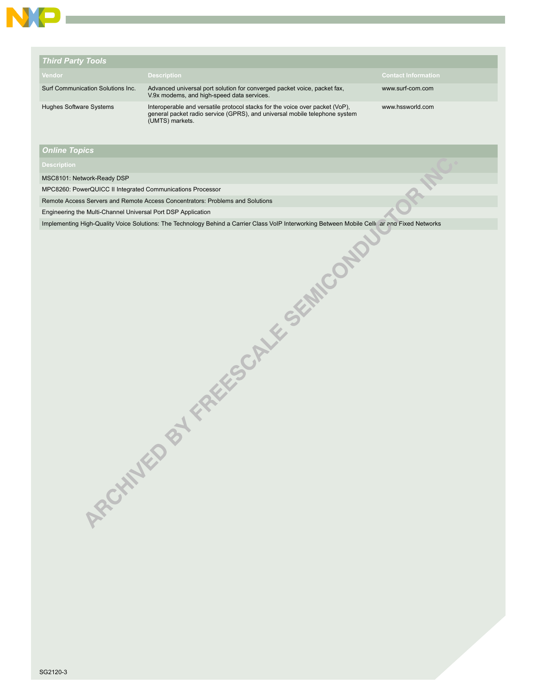

| <b>Third Party Tools</b>          |                                                                                                                                                                               |                            |
|-----------------------------------|-------------------------------------------------------------------------------------------------------------------------------------------------------------------------------|----------------------------|
| Vendor                            | <b>Description</b>                                                                                                                                                            | <b>Contact Information</b> |
| Surf Communication Solutions Inc. | Advanced universal port solution for converged packet voice, packet fax,<br>V.9x modems, and high-speed data services.                                                        | www.surf-com.com           |
| Hughes Software Systems           | Interoperable and versatile protocol stacks for the voice over packet (VoP),<br>general packet radio service (GPRS), and universal mobile telephone system<br>(UMTS) markets. | www.hssworld.com           |

## *Online Topics*

MSC8101: Network-Ready DSP

MPC8260: PowerQUICC II Integrated Communications Processor

Engineering the Multi-Channel Universal Port DSP Application

Remote Access Servers and Remote Access Concentrators: Problems and Solutions<br>Engineering High-Quality-Voice Solutions: The Technology Behind a Carrier Class VolP Intervorxing Between Mobile Co<br>Implementing High-Quality-Vo Implementing High-Quality Voice Solutions: The Technology Behind a Carrier Class VoIP Interworking Between Mobile Celli ar and Fixed Networks